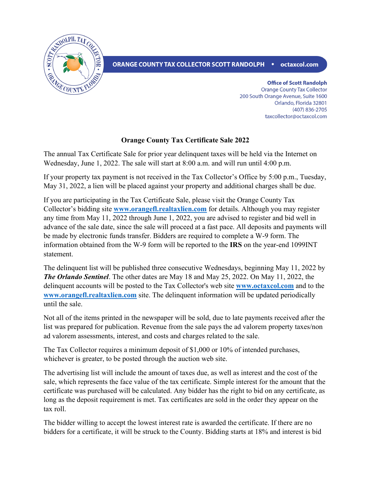

ORANGE COUNTY TAX COLLECTOR SCOTT RANDOLPH • octaxcol.com

**Office of Scott Randolph Orange County Tax Collector** 200 South Orange Avenue, Suite 1600 Orlando, Florida 32801 (407) 836-2705 taxcollector@octaxcol.com

## **Orange County Tax Certificate Sale 2022**

The annual Tax Certificate Sale for prior year delinquent taxes will be held via the Internet on Wednesday, June 1, 2022. The sale will start at 8:00 a.m. and will run until 4:00 p.m.

If your property tax payment is not received in the Tax Collector's Office by 5:00 p.m., Tuesday, May 31, 2022, a lien will be placed against your property and additional charges shall be due.

If you are participating in the Tax Certificate Sale, please visit the Orange County Tax Collector's bidding site **[www.orangefl.realtaxlien.com](http://www.orangefl.realtaxlien.com/)** for details. Although you may register any time from May 11, 2022 through June 1, 2022, you are advised to register and bid well in advance of the sale date, since the sale will proceed at a fast pace. All deposits and payments will be made by electronic funds transfer. Bidders are required to complete a W-9 form. The information obtained from the W-9 form will be reported to the **IRS** on the year-end 1099INT statement.

The delinquent list will be published three consecutive Wednesdays, beginning May 11, 2022 by *The Orlando Sentinel*. The other dates are May 18 and May 25, 2022. On May 11, 2022, the delinquent accounts will be posted to the Tax Collector's web site **[www.octaxcol.com](http://www.octaxcol.com/)** and to the **[www.orangefl.realtaxlien.com](http://www.orangefl.realtaxlien.com/)** site. The delinquent information will be updated periodically until the sale.

Not all of the items printed in the newspaper will be sold, due to late payments received after the list was prepared for publication. Revenue from the sale pays the ad valorem property taxes/non ad valorem assessments, interest, and costs and charges related to the sale.

The Tax Collector requires a minimum deposit of \$1,000 or 10% of intended purchases, whichever is greater, to be posted through the auction web site.

The advertising list will include the amount of taxes due, as well as interest and the cost of the sale, which represents the face value of the tax certificate. Simple interest for the amount that the certificate was purchased will be calculated. Any bidder has the right to bid on any certificate, as long as the deposit requirement is met. Tax certificates are sold in the order they appear on the tax roll.

The bidder willing to accept the lowest interest rate is awarded the certificate. If there are no bidders for a certificate, it will be struck to the County. Bidding starts at 18% and interest is bid